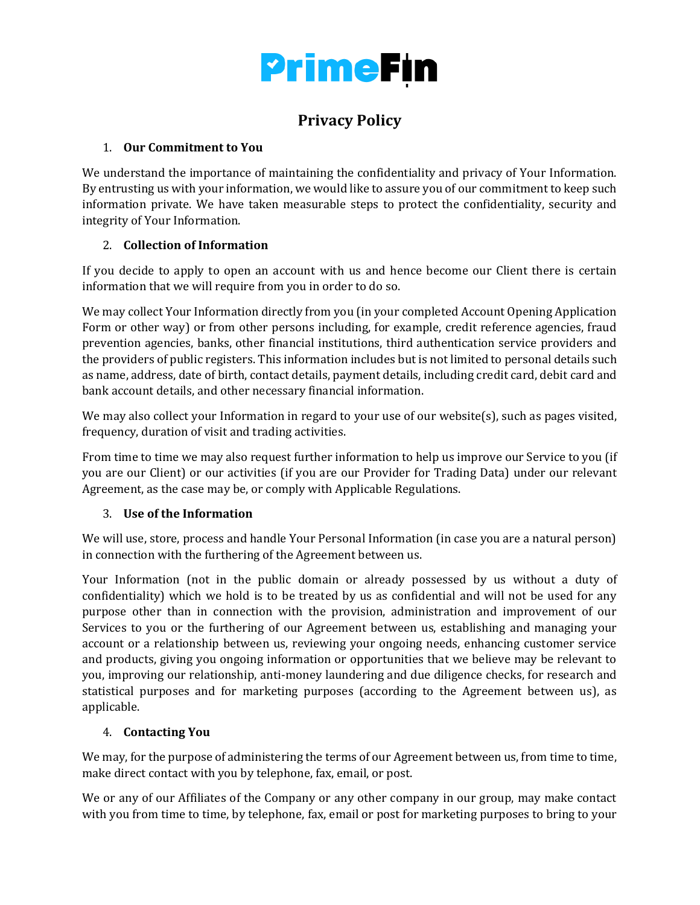

## **Privacy Policy**

#### 1. **Our Commitment to You**

We understand the importance of maintaining the confidentiality and privacy of Your Information. By entrusting us with your information, we would like to assure you of our commitment to keep such information private. We have taken measurable steps to protect the confidentiality, security and integrity of Your Information.

### 2. **Collection of Information**

If you decide to apply to open an account with us and hence become our Client there is certain information that we will require from you in order to do so.

We may collect Your Information directly from you (in your completed Account Opening Application Form or other way) or from other persons including, for example, credit reference agencies, fraud prevention agencies, banks, other financial institutions, third authentication service providers and the providers of public registers. This information includes but is not limited to personal details such as name, address, date of birth, contact details, payment details, including credit card, debit card and bank account details, and other necessary financial information.

We may also collect your Information in regard to your use of our website(s), such as pages visited, frequency, duration of visit and trading activities.

From time to time we may also request further information to help us improve our Service to you (if you are our Client) or our activities (if you are our Provider for Trading Data) under our relevant Agreement, as the case may be, or comply with Applicable Regulations.

#### 3. **Use of the Information**

We will use, store, process and handle Your Personal Information (in case you are a natural person) in connection with the furthering of the Agreement between us.

Your Information (not in the public domain or already possessed by us without a duty of confidentiality) which we hold is to be treated by us as confidential and will not be used for any purpose other than in connection with the provision, administration and improvement of our Services to you or the furthering of our Agreement between us, establishing and managing your account or a relationship between us, reviewing your ongoing needs, enhancing customer service and products, giving you ongoing information or opportunities that we believe may be relevant to you, improving our relationship, anti-money laundering and due diligence checks, for research and statistical purposes and for marketing purposes (according to the Agreement between us), as applicable.

#### 4. **Contacting You**

We may, for the purpose of administering the terms of our Agreement between us, from time to time, make direct contact with you by telephone, fax, email, or post.

We or any of our Affiliates of the Company or any other company in our group, may make contact with you from time to time, by telephone, fax, email or post for marketing purposes to bring to your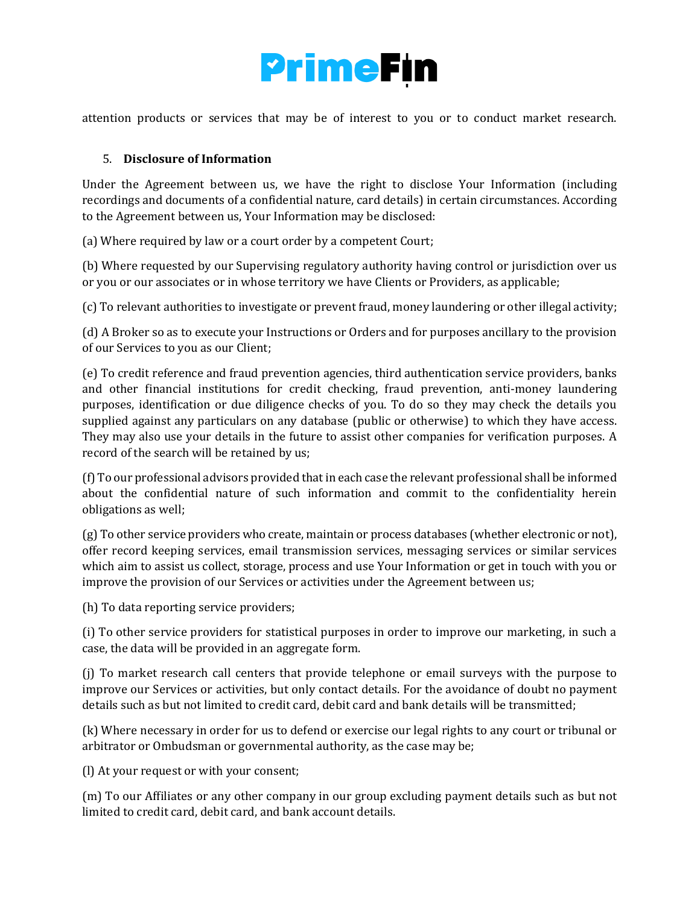

attention products or services that may be of interest to you or to conduct market research.

#### 5. **Disclosure of Information**

Under the Agreement between us, we have the right to disclose Your Information (including recordings and documents of a confidential nature, card details) in certain circumstances. According to the Agreement between us, Your Information may be disclosed:

(a) Where required by law or a court order by a competent Court;

(b) Where requested by our Supervising regulatory authority having control or jurisdiction over us or you or our associates or in whose territory we have Clients or Providers, as applicable;

(c) To relevant authorities to investigate or prevent fraud, money laundering or other illegal activity;

(d) A Broker so as to execute your Instructions or Orders and for purposes ancillary to the provision of our Services to you as our Client;

(e) To credit reference and fraud prevention agencies, third authentication service providers, banks and other financial institutions for credit checking, fraud prevention, anti-money laundering purposes, identification or due diligence checks of you. To do so they may check the details you supplied against any particulars on any database (public or otherwise) to which they have access. They may also use your details in the future to assist other companies for verification purposes. A record of the search will be retained by us;

(f) To our professional advisors provided that in each case the relevant professional shall be informed about the confidential nature of such information and commit to the confidentiality herein obligations as well;

(g) To other service providers who create, maintain or process databases (whether electronic or not), offer record keeping services, email transmission services, messaging services or similar services which aim to assist us collect, storage, process and use Your Information or get in touch with you or improve the provision of our Services or activities under the Agreement between us;

(h) To data reporting service providers;

(i) To other service providers for statistical purposes in order to improve our marketing, in such a case, the data will be provided in an aggregate form.

(j) To market research call centers that provide telephone or email surveys with the purpose to improve our Services or activities, but only contact details. For the avoidance of doubt no payment details such as but not limited to credit card, debit card and bank details will be transmitted;

(k) Where necessary in order for us to defend or exercise our legal rights to any court or tribunal or arbitrator or Ombudsman or governmental authority, as the case may be;

(l) At your request or with your consent;

(m) To our Affiliates or any other company in our group excluding payment details such as but not limited to credit card, debit card, and bank account details.